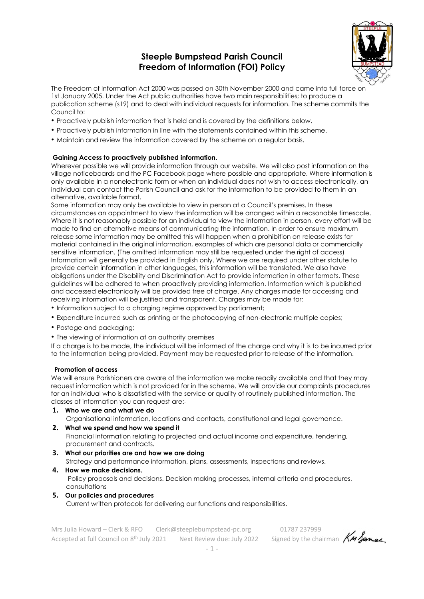# **Steeple Bumpstead Parish Council Freedom of Information (FOI) Policy**



The Freedom of Information Act 2000 was passed on 30th November 2000 and came into full force on 1st January 2005. Under the Act public authorities have two main responsibilities; to produce a publication scheme (s19) and to deal with individual requests for information. The scheme commits the Council to:

- Proactively publish information that is held and is covered by the definitions below.
- Proactively publish information in line with the statements contained within this scheme.
- Maintain and review the information covered by the scheme on a regular basis.

#### **Gaining Access to proactively published information**.

Wherever possible we will provide information through our website. We will also post information on the village noticeboards and the PC Facebook page where possible and appropriate. Where information is only available in a nonelectronic form or when an individual does not wish to access electronically, an individual can contact the Parish Council and ask for the information to be provided to them in an alternative, available format.

Some information may only be available to view in person at a Council's premises. In these circumstances an appointment to view the information will be arranged within a reasonable timescale. Where it is not reasonably possible for an individual to view the information in person, every effort will be made to find an alternative means of communicating the information. In order to ensure maximum release some information may be omitted this will happen when a prohibition on release exists for material contained in the original information, examples of which are personal data or commercially sensitive information. (The omitted information may still be requested under the right of access) Information will generally be provided in English only. Where we are required under other statute to provide certain information in other languages, this information will be translated. We also have obligations under the Disability and Discrimination Act to provide information in other formats. These guidelines will be adhered to when proactively providing information. Information which is published and accessed electronically will be provided free of charge. Any charges made for accessing and receiving information will be justified and transparent. Charges may be made for;

- Information subject to a charging regime approved by parliament;
- Expenditure incurred such as printing or the photocopying of non-electronic multiple copies;
- Postage and packaging;
- The viewing of information at an authority premises

If a charge is to be made, the individual will be informed of the charge and why it is to be incurred prior to the information being provided. Payment may be requested prior to release of the information.

#### **Promotion of access**

We will ensure Parishioners are aware of the information we make readily available and that they may request information which is not provided for in the scheme. We will provide our complaints procedures for an individual who is dissatisfied with the service or quality of routinely published information. The classes of information you can request are:-

**1. Who we are and what we do** Organisational information, locations and contacts, constitutional and legal governance. **2. What we spend and how we spend it** 

Financial information relating to projected and actual income and expenditure, tendering, procurement and contracts.

- **3. What our priorities are and how we are doing**  Strategy and performance information, plans, assessments, inspections and reviews.
- **4. How we make decisions.** Policy proposals and decisions. Decision making processes, internal criteria and procedures, consultations **5. Our policies and procedures**
	- Current written protocols for delivering our functions and responsibilities.

Mrs Julia Howard – Clerk & RFO [Clerk@steeplebumpstead-pc.org](mailto:Clerk@steeplebumpstead-pc.org) 01787 237999<br>Accepted at full Council on 8<sup>th</sup> July 2021 Next Review due: July 2022 Signed by the chairman **KM Janes** Accepted at full Council on 8<sup>th</sup> July 2021 Next Review due: July 2022 Signed by the chairman